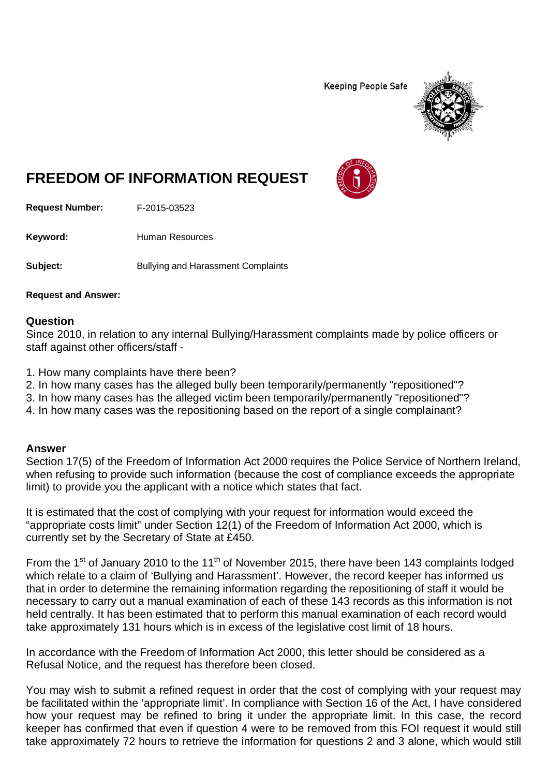**Keeping People Safe** 



## **FREEDOM OF INFORMATION REQUEST**

**Request Number:** F-2015-03523

Keyword: Human Resources

**Subject:** Bullying and Harassment Complaints

**Request and Answer:**

## **Question**

Since 2010, in relation to any internal Bullying/Harassment complaints made by police officers or staff against other officers/staff -

- 1. How many complaints have there been?
- 2. In how many cases has the alleged bully been temporarily/permanently "repositioned"?
- 3. In how many cases has the alleged victim been temporarily/permanently "repositioned"?
- 4. In how many cases was the repositioning based on the report of a single complainant?

## **Answer**

Section 17(5) of the Freedom of Information Act 2000 requires the Police Service of Northern Ireland, when refusing to provide such information (because the cost of compliance exceeds the appropriate limit) to provide you the applicant with a notice which states that fact.

It is estimated that the cost of complying with your request for information would exceed the "appropriate costs limit" under Section 12(1) of the Freedom of Information Act 2000, which is currently set by the Secretary of State at £450.

From the 1<sup>st</sup> of January 2010 to the 11<sup>th</sup> of November 2015, there have been 143 complaints lodged which relate to a claim of 'Bullying and Harassment'. However, the record keeper has informed us that in order to determine the remaining information regarding the repositioning of staff it would be necessary to carry out a manual examination of each of these 143 records as this information is not held centrally. It has been estimated that to perform this manual examination of each record would take approximately 131 hours which is in excess of the legislative cost limit of 18 hours.

In accordance with the Freedom of Information Act 2000, this letter should be considered as a Refusal Notice, and the request has therefore been closed.

You may wish to submit a refined request in order that the cost of complying with your request may be facilitated within the 'appropriate limit'. In compliance with Section 16 of the Act, I have considered how your request may be refined to bring it under the appropriate limit. In this case, the record keeper has confirmed that even if question 4 were to be removed from this FOI request it would still take approximately 72 hours to retrieve the information for questions 2 and 3 alone, which would still